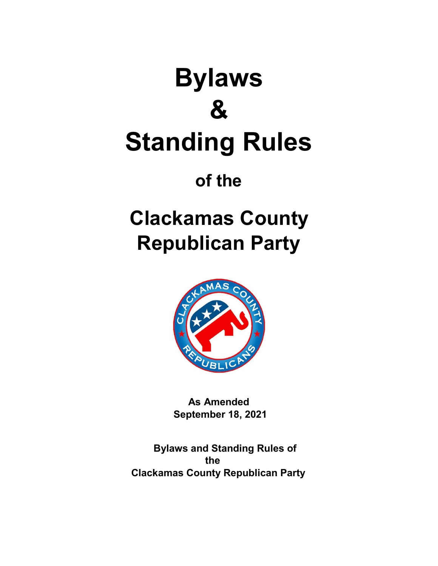# **Bylaws & Standing Rules**

**of the** 

## **Clackamas County Republican Party**



**As Amended September 18, 2021**

**Bylaws and Standing Rules of the Clackamas County Republican Party**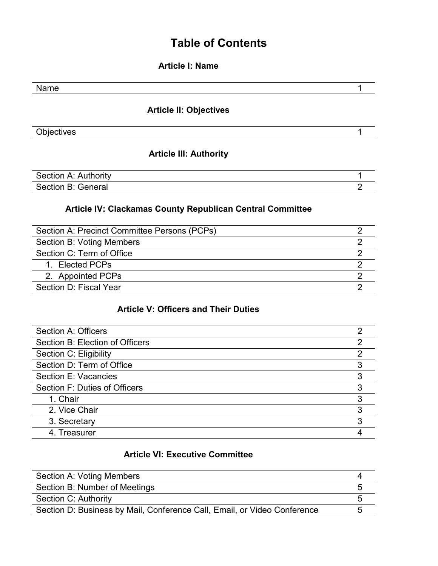#### **Table of Contents**

**Article I: Name** 

| Name                          |   |
|-------------------------------|---|
| <b>Article II: Objectives</b> |   |
| Objectives                    |   |
| <b>Article III: Authority</b> |   |
| Section A: Authority          |   |
| Section B: General            | 2 |

#### **Article IV: Clackamas County Republican Central Committee**

| Section A: Precinct Committee Persons (PCPs) |  |
|----------------------------------------------|--|
| Section B: Voting Members                    |  |
| Section C: Term of Office                    |  |
| 1. Elected PCPs                              |  |
| 2. Appointed PCPs                            |  |
| Section D: Fiscal Year                       |  |
|                                              |  |

#### **Article V: Officers and Their Duties**

| Section A: Officers             |   |
|---------------------------------|---|
| Section B: Election of Officers |   |
| Section C: Eligibility          | 2 |
| Section D: Term of Office       | 3 |
| Section E: Vacancies            | 3 |
| Section F: Duties of Officers   |   |
| 1. Chair                        | 3 |
| 2. Vice Chair                   | ঽ |
| 3. Secretary                    |   |
| 4. Treasurer                    |   |

#### **Article VI: Executive Committee**

| Section A: Voting Members                                                |   |
|--------------------------------------------------------------------------|---|
| Section B: Number of Meetings                                            |   |
| Section C: Authority                                                     |   |
| Section D: Business by Mail, Conference Call, Email, or Video Conference | n |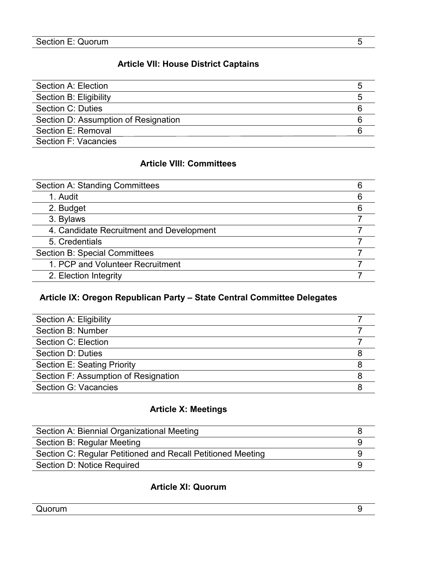#### **Article VII: House District Captains**

| Section A: Election                  |  |
|--------------------------------------|--|
| Section B: Eligibility               |  |
| Section C: Duties                    |  |
| Section D: Assumption of Resignation |  |
| Section E: Removal                   |  |
| Section F: Vacancies                 |  |

#### **Article VIII: Committees**

| <b>Section A: Standing Committees</b>    | 6 |
|------------------------------------------|---|
| 1. Audit                                 | 6 |
| 2. Budget                                | 6 |
| 3. Bylaws                                |   |
| 4. Candidate Recruitment and Development |   |
| 5. Credentials                           |   |
| <b>Section B: Special Committees</b>     |   |
| 1. PCP and Volunteer Recruitment         |   |
| 2. Election Integrity                    |   |

#### **Article IX: Oregon Republican Party – State Central Committee Delegates**

| Section A: Eligibility               |   |
|--------------------------------------|---|
| Section B: Number                    |   |
| Section C: Election                  |   |
| Section D: Duties                    | 8 |
| <b>Section E: Seating Priority</b>   | 8 |
| Section F: Assumption of Resignation |   |
| Section G: Vacancies                 |   |
|                                      |   |

#### **Article X: Meetings**

| Section A: Biennial Organizational Meeting                  |  |
|-------------------------------------------------------------|--|
| Section B: Regular Meeting                                  |  |
| Section C: Regular Petitioned and Recall Petitioned Meeting |  |
| Section D: Notice Required                                  |  |

#### **Article XI: Quorum**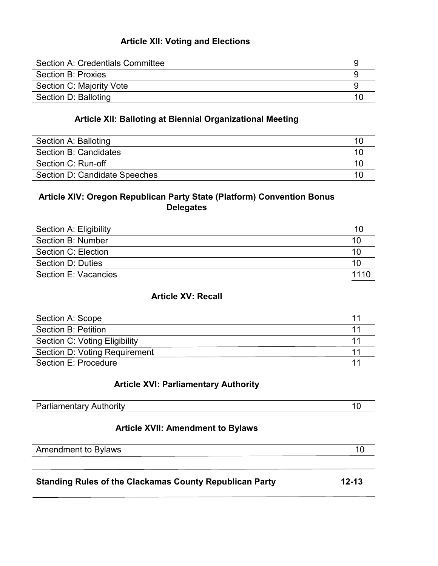#### **Article XII: Voting and Elections**

| Section A: Credentials Committee |  |
|----------------------------------|--|
| Section B: Proxies               |  |
| Section C: Majority Vote         |  |
| Section D: Balloting             |  |

#### **Article XII: Balloting at Biennial Organizational Meeting**

| Section A: Balloting          |  |
|-------------------------------|--|
| Section B: Candidates         |  |
| Section C: Run-off            |  |
| Section D: Candidate Speeches |  |

#### **Article XIV: Oregon Republican Party State (Platform) Convention Bonus Delegates**

| Section A: Eligibility | 10   |
|------------------------|------|
| Section B: Number      | 10   |
| Section C: Election    | 10   |
| Section D: Duties      | 10   |
| Section E: Vacancies   | 1110 |

#### **Article XV: Recall**

| Section A: Scope              |  |
|-------------------------------|--|
| Section B: Petition           |  |
| Section C: Voting Eligibility |  |
| Section D: Voting Requirement |  |
| Section E: Procedure          |  |

#### **Article XVI: Parliamentary Authority**

| Parliamentarv .<br>$\cdot$ ith oritri<br>$A$ $I$<br>_________________ |  |
|-----------------------------------------------------------------------|--|
|                                                                       |  |

#### **Article XVII: Amendment to Bylaws**

| <b>Amendment to Bylaws</b>                                     | 10        |
|----------------------------------------------------------------|-----------|
|                                                                |           |
| <b>Standing Rules of the Clackamas County Republican Party</b> | $12 - 13$ |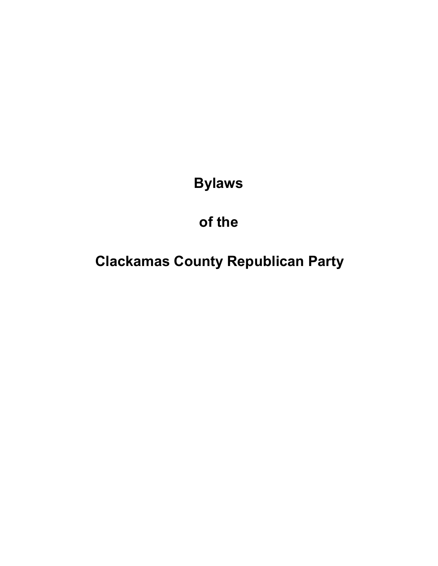**Bylaws** 

## **of the**

**Clackamas County Republican Party**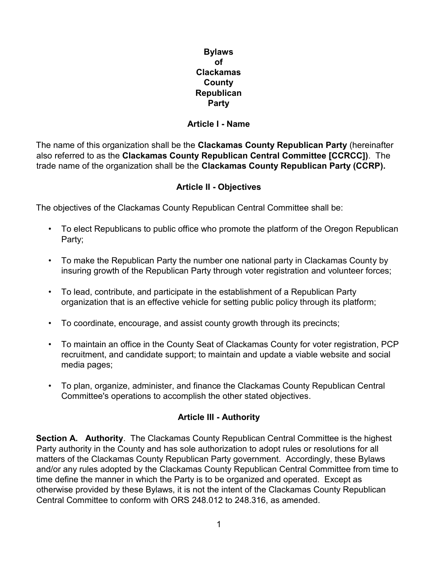**Bylaws of Clackamas County Republican Party**

#### **Article I - Name**

The name of this organization shall be the **Clackamas County Republican Party** (hereinafter also referred to as the **Clackamas County Republican Central Committee [CCRCC])**. The trade name of the organization shall be the **Clackamas County Republican Party (CCRP).** 

#### **Article II - Objectives**

The objectives of the Clackamas County Republican Central Committee shall be:

- To elect Republicans to public office who promote the platform of the Oregon Republican Party;
- To make the Republican Party the number one national party in Clackamas County by insuring growth of the Republican Party through voter registration and volunteer forces;
- To lead, contribute, and participate in the establishment of a Republican Party organization that is an effective vehicle for setting public policy through its platform;
- To coordinate, encourage, and assist county growth through its precincts;
- To maintain an office in the County Seat of Clackamas County for voter registration, PCP recruitment, and candidate support; to maintain and update a viable website and social media pages;
- To plan, organize, administer, and finance the Clackamas County Republican Central Committee's operations to accomplish the other stated objectives.

#### **Article III - Authority**

**Section A. Authority**. The Clackamas County Republican Central Committee is the highest Party authority in the County and has sole authorization to adopt rules or resolutions for all matters of the Clackamas County Republican Party government. Accordingly, these Bylaws and/or any rules adopted by the Clackamas County Republican Central Committee from time to time define the manner in which the Party is to be organized and operated. Except as otherwise provided by these Bylaws, it is not the intent of the Clackamas County Republican Central Committee to conform with ORS 248.012 to 248.316, as amended.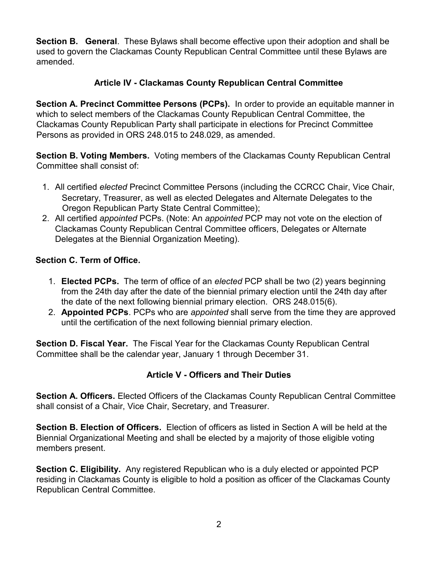**Section B. General**. These Bylaws shall become effective upon their adoption and shall be used to govern the Clackamas County Republican Central Committee until these Bylaws are amended.

#### **Article IV - Clackamas County Republican Central Committee**

**Section A. Precinct Committee Persons (PCPs).** In order to provide an equitable manner in which to select members of the Clackamas County Republican Central Committee, the Clackamas County Republican Party shall participate in elections for Precinct Committee Persons as provided in ORS 248.015 to 248.029, as amended.

**Section B. Voting Members.** Voting members of the Clackamas County Republican Central Committee shall consist of:

- 1. All certified *elected* Precinct Committee Persons (including the CCRCC Chair, Vice Chair, Secretary, Treasurer, as well as elected Delegates and Alternate Delegates to the Oregon Republican Party State Central Committee);
- 2. All certified *appointed* PCPs. (Note: An *appointed* PCP may not vote on the election of Clackamas County Republican Central Committee officers, Delegates or Alternate Delegates at the Biennial Organization Meeting).

#### **Section C. Term of Office.**

- 1. **Elected PCPs.** The term of office of an *elected* PCP shall be two (2) years beginning from the 24th day after the date of the biennial primary election until the 24th day after the date of the next following biennial primary election. ORS 248.015(6).
- 2. **Appointed PCPs**. PCPs who are *appointed* shall serve from the time they are approved until the certification of the next following biennial primary election.

**Section D. Fiscal Year.** The Fiscal Year for the Clackamas County Republican Central Committee shall be the calendar year, January 1 through December 31.

#### **Article V - Officers and Their Duties**

**Section A. Officers.** Elected Officers of the Clackamas County Republican Central Committee shall consist of a Chair, Vice Chair, Secretary, and Treasurer.

**Section B. Election of Officers.** Election of officers as listed in Section A will be held at the Biennial Organizational Meeting and shall be elected by a majority of those eligible voting members present.

**Section C. Eligibility.** Any registered Republican who is a duly elected or appointed PCP residing in Clackamas County is eligible to hold a position as officer of the Clackamas County Republican Central Committee.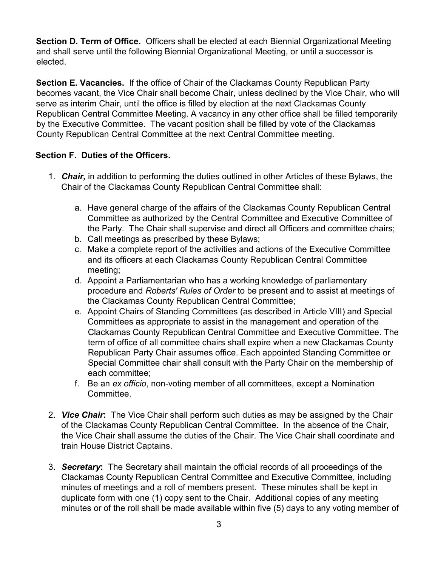**Section D. Term of Office.** Officers shall be elected at each Biennial Organizational Meeting and shall serve until the following Biennial Organizational Meeting, or until a successor is elected.

**Section E. Vacancies.** If the office of Chair of the Clackamas County Republican Party becomes vacant, the Vice Chair shall become Chair, unless declined by the Vice Chair, who will serve as interim Chair, until the office is filled by election at the next Clackamas County Republican Central Committee Meeting. A vacancy in any other office shall be filled temporarily by the Executive Committee. The vacant position shall be filled by vote of the Clackamas County Republican Central Committee at the next Central Committee meeting.

#### **Section F. Duties of the Officers.**

- 1. *Chair,* in addition to performing the duties outlined in other Articles of these Bylaws, the Chair of the Clackamas County Republican Central Committee shall:
	- a. Have general charge of the affairs of the Clackamas County Republican Central Committee as authorized by the Central Committee and Executive Committee of the Party. The Chair shall supervise and direct all Officers and committee chairs;
	- b. Call meetings as prescribed by these Bylaws;
	- c. Make a complete report of the activities and actions of the Executive Committee and its officers at each Clackamas County Republican Central Committee meeting;
	- d. Appoint a Parliamentarian who has a working knowledge of parliamentary procedure and *Roberts' Rules of Order* to be present and to assist at meetings of the Clackamas County Republican Central Committee;
	- e. Appoint Chairs of Standing Committees (as described in Article VIII) and Special Committees as appropriate to assist in the management and operation of the Clackamas County Republican Central Committee and Executive Committee. The term of office of all committee chairs shall expire when a new Clackamas County Republican Party Chair assumes office. Each appointed Standing Committee or Special Committee chair shall consult with the Party Chair on the membership of each committee;
	- f. Be an *ex officio*, non-voting member of all committees, except a Nomination Committee.
- 2. *Vice Chair***:** The Vice Chair shall perform such duties as may be assigned by the Chair of the Clackamas County Republican Central Committee. In the absence of the Chair, the Vice Chair shall assume the duties of the Chair. The Vice Chair shall coordinate and train House District Captains.
- 3. *Secretary***:** The Secretary shall maintain the official records of all proceedings of the Clackamas County Republican Central Committee and Executive Committee, including minutes of meetings and a roll of members present. These minutes shall be kept in duplicate form with one (1) copy sent to the Chair. Additional copies of any meeting minutes or of the roll shall be made available within five (5) days to any voting member of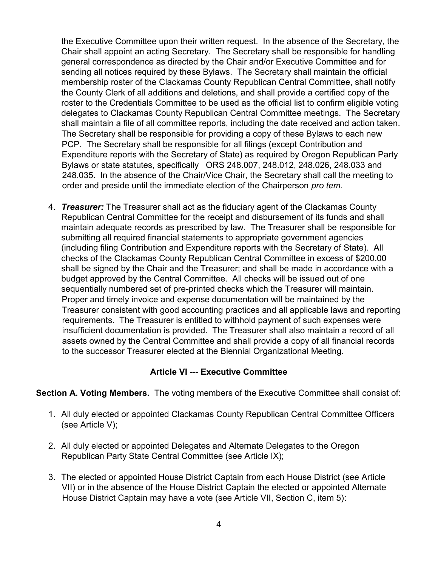the Executive Committee upon their written request. In the absence of the Secretary, the Chair shall appoint an acting Secretary. The Secretary shall be responsible for handling general correspondence as directed by the Chair and/or Executive Committee and for sending all notices required by these Bylaws. The Secretary shall maintain the official membership roster of the Clackamas County Republican Central Committee, shall notify the County Clerk of all additions and deletions, and shall provide a certified copy of the roster to the Credentials Committee to be used as the official list to confirm eligible voting delegates to Clackamas County Republican Central Committee meetings. The Secretary shall maintain a file of all committee reports, including the date received and action taken. The Secretary shall be responsible for providing a copy of these Bylaws to each new PCP. The Secretary shall be responsible for all filings (except Contribution and Expenditure reports with the Secretary of State) as required by Oregon Republican Party Bylaws or state statutes, specifically ORS 248.007, 248.012, 248.026, 248.033 and 248.035. In the absence of the Chair/Vice Chair, the Secretary shall call the meeting to order and preside until the immediate election of the Chairperson *pro tem.*

4. *Treasurer:* The Treasurer shall act as the fiduciary agent of the Clackamas County Republican Central Committee for the receipt and disbursement of its funds and shall maintain adequate records as prescribed by law. The Treasurer shall be responsible for submitting all required financial statements to appropriate government agencies (including filing Contribution and Expenditure reports with the Secretary of State). All checks of the Clackamas County Republican Central Committee in excess of \$200.00 shall be signed by the Chair and the Treasurer; and shall be made in accordance with a budget approved by the Central Committee. All checks will be issued out of one sequentially numbered set of pre-printed checks which the Treasurer will maintain. Proper and timely invoice and expense documentation will be maintained by the Treasurer consistent with good accounting practices and all applicable laws and reporting requirements. The Treasurer is entitled to withhold payment of such expenses were insufficient documentation is provided. The Treasurer shall also maintain a record of all assets owned by the Central Committee and shall provide a copy of all financial records to the successor Treasurer elected at the Biennial Organizational Meeting.

#### **Article VI --- Executive Committee**

**Section A. Voting Members.** The voting members of the Executive Committee shall consist of:

- 1. All duly elected or appointed Clackamas County Republican Central Committee Officers (see Article V);
- 2. All duly elected or appointed Delegates and Alternate Delegates to the Oregon Republican Party State Central Committee (see Article IX);
- 3. The elected or appointed House District Captain from each House District (see Article VII) or in the absence of the House District Captain the elected or appointed Alternate House District Captain may have a vote (see Article VII, Section C, item 5):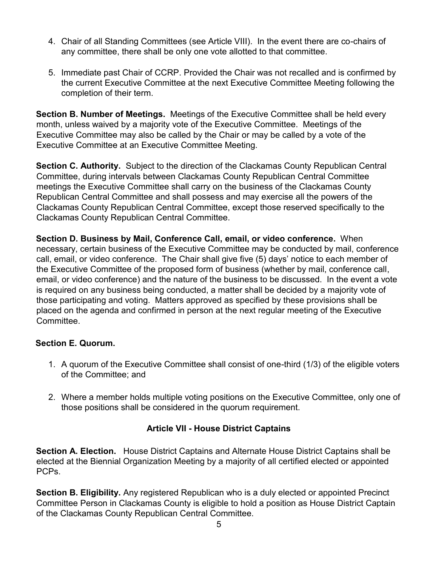- 4. Chair of all Standing Committees (see Article VIII). In the event there are co-chairs of any committee, there shall be only one vote allotted to that committee.
- 5. Immediate past Chair of CCRP. Provided the Chair was not recalled and is confirmed by the current Executive Committee at the next Executive Committee Meeting following the completion of their term.

**Section B. Number of Meetings.** Meetings of the Executive Committee shall be held every month, unless waived by a majority vote of the Executive Committee. Meetings of the Executive Committee may also be called by the Chair or may be called by a vote of the Executive Committee at an Executive Committee Meeting.

**Section C. Authority.** Subject to the direction of the Clackamas County Republican Central Committee, during intervals between Clackamas County Republican Central Committee meetings the Executive Committee shall carry on the business of the Clackamas County Republican Central Committee and shall possess and may exercise all the powers of the Clackamas County Republican Central Committee, except those reserved specifically to the Clackamas County Republican Central Committee.

**Section D. Business by Mail, Conference Call, email, or video conference.** When necessary, certain business of the Executive Committee may be conducted by mail, conference call, email, or video conference. The Chair shall give five (5) days' notice to each member of the Executive Committee of the proposed form of business (whether by mail, conference call, email, or video conference) and the nature of the business to be discussed. In the event a vote is required on any business being conducted, a matter shall be decided by a majority vote of those participating and voting. Matters approved as specified by these provisions shall be placed on the agenda and confirmed in person at the next regular meeting of the Executive Committee.

#### **Section E. Quorum.**

- 1. A quorum of the Executive Committee shall consist of one-third (1/3) of the eligible voters of the Committee; and
- 2. Where a member holds multiple voting positions on the Executive Committee, only one of those positions shall be considered in the quorum requirement.

#### **Article VII - House District Captains**

**Section A. Election.** House District Captains and Alternate House District Captains shall be elected at the Biennial Organization Meeting by a majority of all certified elected or appointed PCPs.

**Section B. Eligibility.** Any registered Republican who is a duly elected or appointed Precinct Committee Person in Clackamas County is eligible to hold a position as House District Captain of the Clackamas County Republican Central Committee.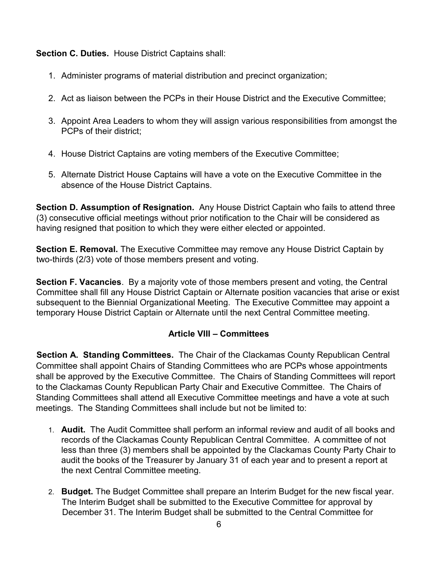**Section C. Duties.** House District Captains shall:

- 1. Administer programs of material distribution and precinct organization;
- 2. Act as liaison between the PCPs in their House District and the Executive Committee;
- 3. Appoint Area Leaders to whom they will assign various responsibilities from amongst the PCPs of their district;
- 4. House District Captains are voting members of the Executive Committee;
- 5. Alternate District House Captains will have a vote on the Executive Committee in the absence of the House District Captains.

**Section D. Assumption of Resignation.** Any House District Captain who fails to attend three (3) consecutive official meetings without prior notification to the Chair will be considered as having resigned that position to which they were either elected or appointed.

**Section E. Removal.** The Executive Committee may remove any House District Captain by two-thirds (2/3) vote of those members present and voting.

**Section F. Vacancies**. By a majority vote of those members present and voting, the Central Committee shall fill any House District Captain or Alternate position vacancies that arise or exist subsequent to the Biennial Organizational Meeting. The Executive Committee may appoint a temporary House District Captain or Alternate until the next Central Committee meeting.

#### **Article VIII – Committees**

**Section A. Standing Committees.** The Chair of the Clackamas County Republican Central Committee shall appoint Chairs of Standing Committees who are PCPs whose appointments shall be approved by the Executive Committee. The Chairs of Standing Committees will report to the Clackamas County Republican Party Chair and Executive Committee. The Chairs of Standing Committees shall attend all Executive Committee meetings and have a vote at such meetings. The Standing Committees shall include but not be limited to:

- 1. **Audit.** The Audit Committee shall perform an informal review and audit of all books and records of the Clackamas County Republican Central Committee. A committee of not less than three (3) members shall be appointed by the Clackamas County Party Chair to audit the books of the Treasurer by January 31 of each year and to present a report at the next Central Committee meeting.
- 2. **Budget.** The Budget Committee shall prepare an Interim Budget for the new fiscal year. The Interim Budget shall be submitted to the Executive Committee for approval by December 31. The Interim Budget shall be submitted to the Central Committee for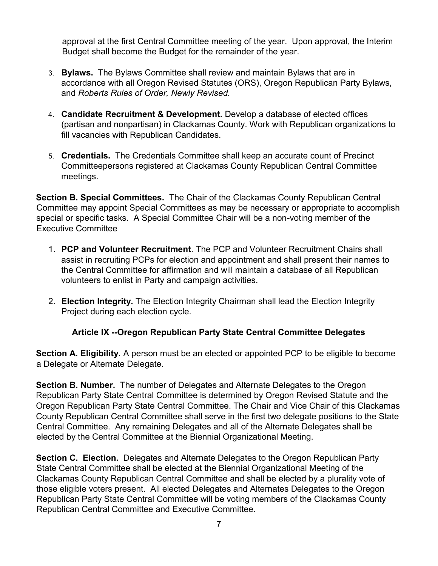approval at the first Central Committee meeting of the year. Upon approval, the Interim Budget shall become the Budget for the remainder of the year.

- 3. **Bylaws.** The Bylaws Committee shall review and maintain Bylaws that are in accordance with all Oregon Revised Statutes (ORS), Oregon Republican Party Bylaws, and *Roberts Rules of Order, Newly Revised.*
- 4. **Candidate Recruitment & Development.** Develop a database of elected offices (partisan and nonpartisan) in Clackamas County. Work with Republican organizations to fill vacancies with Republican Candidates.
- 5. **Credentials.** The Credentials Committee shall keep an accurate count of Precinct Committeepersons registered at Clackamas County Republican Central Committee meetings.

**Section B. Special Committees.** The Chair of the Clackamas County Republican Central Committee may appoint Special Committees as may be necessary or appropriate to accomplish special or specific tasks. A Special Committee Chair will be a non-voting member of the Executive Committee

- 1. **PCP and Volunteer Recruitment**. The PCP and Volunteer Recruitment Chairs shall assist in recruiting PCPs for election and appointment and shall present their names to the Central Committee for affirmation and will maintain a database of all Republican volunteers to enlist in Party and campaign activities.
- 2. **Election Integrity.** The Election Integrity Chairman shall lead the Election Integrity Project during each election cycle.

#### **Article IX --Oregon Republican Party State Central Committee Delegates**

**Section A. Eligibility.** A person must be an elected or appointed PCP to be eligible to become a Delegate or Alternate Delegate.

**Section B. Number.** The number of Delegates and Alternate Delegates to the Oregon Republican Party State Central Committee is determined by Oregon Revised Statute and the Oregon Republican Party State Central Committee. The Chair and Vice Chair of this Clackamas County Republican Central Committee shall serve in the first two delegate positions to the State Central Committee. Any remaining Delegates and all of the Alternate Delegates shall be elected by the Central Committee at the Biennial Organizational Meeting.

**Section C. Election.** Delegates and Alternate Delegates to the Oregon Republican Party State Central Committee shall be elected at the Biennial Organizational Meeting of the Clackamas County Republican Central Committee and shall be elected by a plurality vote of those eligible voters present. All elected Delegates and Alternates Delegates to the Oregon Republican Party State Central Committee will be voting members of the Clackamas County Republican Central Committee and Executive Committee.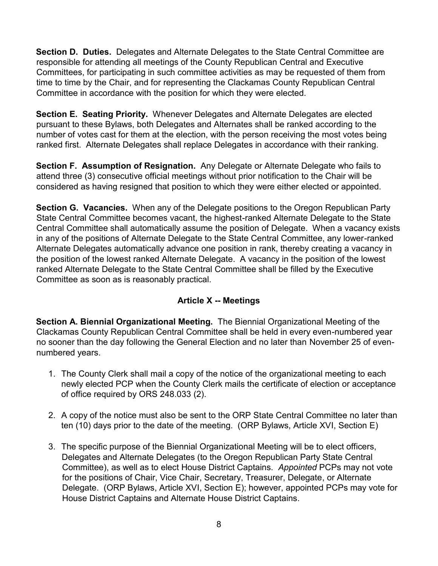**Section D. Duties.** Delegates and Alternate Delegates to the State Central Committee are responsible for attending all meetings of the County Republican Central and Executive Committees, for participating in such committee activities as may be requested of them from time to time by the Chair, and for representing the Clackamas County Republican Central Committee in accordance with the position for which they were elected.

**Section E. Seating Priority.** Whenever Delegates and Alternate Delegates are elected pursuant to these Bylaws, both Delegates and Alternates shall be ranked according to the number of votes cast for them at the election, with the person receiving the most votes being ranked first. Alternate Delegates shall replace Delegates in accordance with their ranking.

**Section F. Assumption of Resignation.** Any Delegate or Alternate Delegate who fails to attend three (3) consecutive official meetings without prior notification to the Chair will be considered as having resigned that position to which they were either elected or appointed.

**Section G. Vacancies.** When any of the Delegate positions to the Oregon Republican Party State Central Committee becomes vacant, the highest-ranked Alternate Delegate to the State Central Committee shall automatically assume the position of Delegate. When a vacancy exists in any of the positions of Alternate Delegate to the State Central Committee, any lower-ranked Alternate Delegates automatically advance one position in rank, thereby creating a vacancy in the position of the lowest ranked Alternate Delegate. A vacancy in the position of the lowest ranked Alternate Delegate to the State Central Committee shall be filled by the Executive Committee as soon as is reasonably practical.

#### **Article X -- Meetings**

**Section A. Biennial Organizational Meeting.** The Biennial Organizational Meeting of the Clackamas County Republican Central Committee shall be held in every even-numbered year no sooner than the day following the General Election and no later than November 25 of evennumbered years.

- 1. The County Clerk shall mail a copy of the notice of the organizational meeting to each newly elected PCP when the County Clerk mails the certificate of election or acceptance of office required by ORS 248.033 (2).
- 2. A copy of the notice must also be sent to the ORP State Central Committee no later than ten (10) days prior to the date of the meeting. (ORP Bylaws, Article XVI, Section E)
- 3. The specific purpose of the Biennial Organizational Meeting will be to elect officers, Delegates and Alternate Delegates (to the Oregon Republican Party State Central Committee), as well as to elect House District Captains. *Appointed* PCPs may not vote for the positions of Chair, Vice Chair, Secretary, Treasurer, Delegate, or Alternate Delegate. (ORP Bylaws, Article XVI, Section E); however, appointed PCPs may vote for House District Captains and Alternate House District Captains.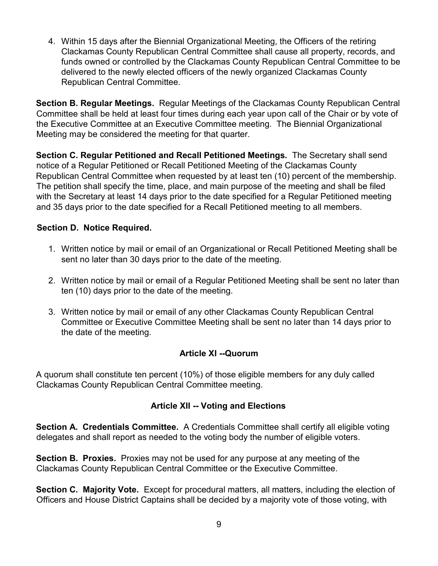4. Within 15 days after the Biennial Organizational Meeting, the Officers of the retiring Clackamas County Republican Central Committee shall cause all property, records, and funds owned or controlled by the Clackamas County Republican Central Committee to be delivered to the newly elected officers of the newly organized Clackamas County Republican Central Committee.

**Section B. Regular Meetings.** Regular Meetings of the Clackamas County Republican Central Committee shall be held at least four times during each year upon call of the Chair or by vote of the Executive Committee at an Executive Committee meeting. The Biennial Organizational Meeting may be considered the meeting for that quarter.

**Section C. Regular Petitioned and Recall Petitioned Meetings.** The Secretary shall send notice of a Regular Petitioned or Recall Petitioned Meeting of the Clackamas County Republican Central Committee when requested by at least ten (10) percent of the membership. The petition shall specify the time, place, and main purpose of the meeting and shall be filed with the Secretary at least 14 days prior to the date specified for a Regular Petitioned meeting and 35 days prior to the date specified for a Recall Petitioned meeting to all members.

#### **Section D. Notice Required.**

- 1. Written notice by mail or email of an Organizational or Recall Petitioned Meeting shall be sent no later than 30 days prior to the date of the meeting.
- 2. Written notice by mail or email of a Regular Petitioned Meeting shall be sent no later than ten (10) days prior to the date of the meeting.
- 3. Written notice by mail or email of any other Clackamas County Republican Central Committee or Executive Committee Meeting shall be sent no later than 14 days prior to the date of the meeting.

#### **Article XI --Quorum**

A quorum shall constitute ten percent (10%) of those eligible members for any duly called Clackamas County Republican Central Committee meeting.

#### **Article XII -- Voting and Elections**

**Section A. Credentials Committee.** A Credentials Committee shall certify all eligible voting delegates and shall report as needed to the voting body the number of eligible voters.

**Section B. Proxies.** Proxies may not be used for any purpose at any meeting of the Clackamas County Republican Central Committee or the Executive Committee.

**Section C. Majority Vote.** Except for procedural matters, all matters, including the election of Officers and House District Captains shall be decided by a majority vote of those voting, with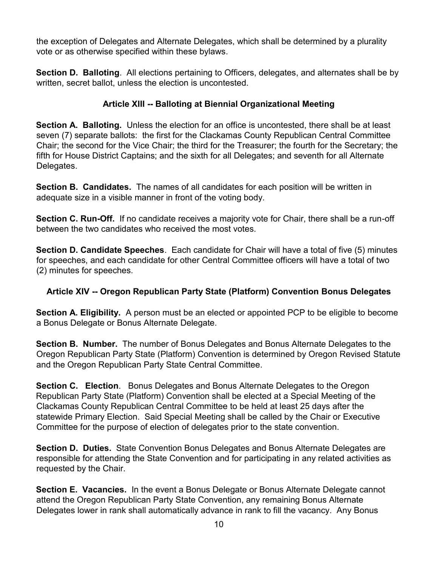the exception of Delegates and Alternate Delegates, which shall be determined by a plurality vote or as otherwise specified within these bylaws.

**Section D. Balloting**. All elections pertaining to Officers, delegates, and alternates shall be by written, secret ballot, unless the election is uncontested.

#### **Article XIII -- Balloting at Biennial Organizational Meeting**

**Section A. Balloting.** Unless the election for an office is uncontested, there shall be at least seven (7) separate ballots: the first for the Clackamas County Republican Central Committee Chair; the second for the Vice Chair; the third for the Treasurer; the fourth for the Secretary; the fifth for House District Captains; and the sixth for all Delegates; and seventh for all Alternate Delegates.

**Section B. Candidates.** The names of all candidates for each position will be written in adequate size in a visible manner in front of the voting body.

**Section C. Run-Off.** If no candidate receives a majority vote for Chair, there shall be a run-off between the two candidates who received the most votes.

**Section D. Candidate Speeches**. Each candidate for Chair will have a total of five (5) minutes for speeches, and each candidate for other Central Committee officers will have a total of two (2) minutes for speeches.

#### **Article XIV -- Oregon Republican Party State (Platform) Convention Bonus Delegates**

**Section A. Eligibility.** A person must be an elected or appointed PCP to be eligible to become a Bonus Delegate or Bonus Alternate Delegate.

**Section B. Number.** The number of Bonus Delegates and Bonus Alternate Delegates to the Oregon Republican Party State (Platform) Convention is determined by Oregon Revised Statute and the Oregon Republican Party State Central Committee.

**Section C. Election**. Bonus Delegates and Bonus Alternate Delegates to the Oregon Republican Party State (Platform) Convention shall be elected at a Special Meeting of the Clackamas County Republican Central Committee to be held at least 25 days after the statewide Primary Election. Said Special Meeting shall be called by the Chair or Executive Committee for the purpose of election of delegates prior to the state convention.

**Section D. Duties.** State Convention Bonus Delegates and Bonus Alternate Delegates are responsible for attending the State Convention and for participating in any related activities as requested by the Chair.

**Section E. Vacancies.** In the event a Bonus Delegate or Bonus Alternate Delegate cannot attend the Oregon Republican Party State Convention, any remaining Bonus Alternate Delegates lower in rank shall automatically advance in rank to fill the vacancy. Any Bonus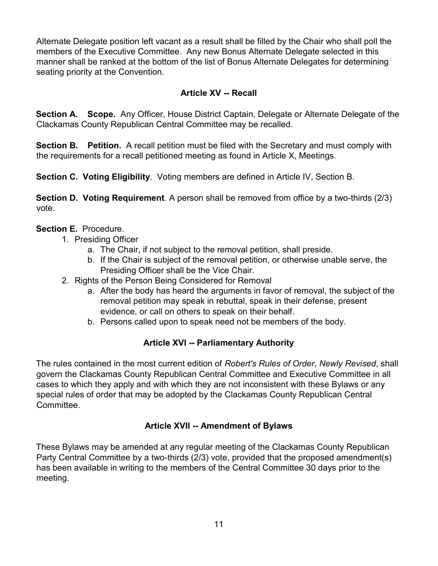Alternate Delegate position left vacant as a result shall be filled by the Chair who shall poll the members of the Executive Committee. Any new Bonus Alternate Delegate selected in this manner shall be ranked at the bottom of the list of Bonus Alternate Delegates for determining seating priority at the Convention.

#### **Article XV -- Recall**

**Section A. Scope.** Any Officer, House District Captain, Delegate or Alternate Delegate of the Clackamas County Republican Central Committee may be recalled.

**Section B. Petition.** A recall petition must be filed with the Secretary and must comply with the requirements for a recall petitioned meeting as found in Article X, Meetings.

**Section C. Voting Eligibility**. Voting members are defined in Article IV, Section B.

**Section D. Voting Requirement**. A person shall be removed from office by a two-thirds (2/3) vote.

#### **Section E.** Procedure.

- 1. Presiding Officer
	- a. The Chair, if not subject to the removal petition, shall preside.
	- b. If the Chair is subject of the removal petition, or otherwise unable serve, the Presiding Officer shall be the Vice Chair.
- 2. Rights of the Person Being Considered for Removal
	- a. After the body has heard the arguments in favor of removal, the subject of the removal petition may speak in rebuttal, speak in their defense, present evidence, or call on others to speak on their behalf.
	- b. Persons called upon to speak need not be members of the body.

#### **Article XVI -- Parliamentary Authority**

The rules contained in the most current edition of *Robert's Rules of Order*, *Newly Revised*, shall govern the Clackamas County Republican Central Committee and Executive Committee in all cases to which they apply and with which they are not inconsistent with these Bylaws or any special rules of order that may be adopted by the Clackamas County Republican Central Committee.

#### **Article XVII -- Amendment of Bylaws**

These Bylaws may be amended at any regular meeting of the Clackamas County Republican Party Central Committee by a two-thirds (2/3) vote, provided that the proposed amendment(s) has been available in writing to the members of the Central Committee 30 days prior to the meeting.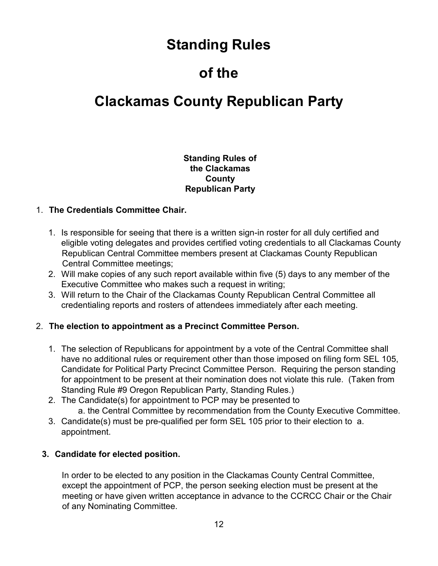## **Standing Rules**

## **of the**

### **Clackamas County Republican Party**

#### **Standing Rules of the Clackamas County Republican Party**

#### 1. **The Credentials Committee Chair.**

- 1. Is responsible for seeing that there is a written sign-in roster for all duly certified and eligible voting delegates and provides certified voting credentials to all Clackamas County Republican Central Committee members present at Clackamas County Republican Central Committee meetings;
- 2. Will make copies of any such report available within five (5) days to any member of the Executive Committee who makes such a request in writing;
- 3. Will return to the Chair of the Clackamas County Republican Central Committee all credentialing reports and rosters of attendees immediately after each meeting.

#### 2. **The election to appointment as a Precinct Committee Person.**

- 1. The selection of Republicans for appointment by a vote of the Central Committee shall have no additional rules or requirement other than those imposed on filing form SEL 105, Candidate for Political Party Precinct Committee Person. Requiring the person standing for appointment to be present at their nomination does not violate this rule. (Taken from Standing Rule #9 Oregon Republican Party, Standing Rules.)
- 2. The Candidate(s) for appointment to PCP may be presented to a. the Central Committee by recommendation from the County Executive Committee.
- 3. Candidate(s) must be pre-qualified per form SEL 105 prior to their election to a. appointment.

#### **3. Candidate for elected position.**

In order to be elected to any position in the Clackamas County Central Committee, except the appointment of PCP, the person seeking election must be present at the meeting or have given written acceptance in advance to the CCRCC Chair or the Chair of any Nominating Committee.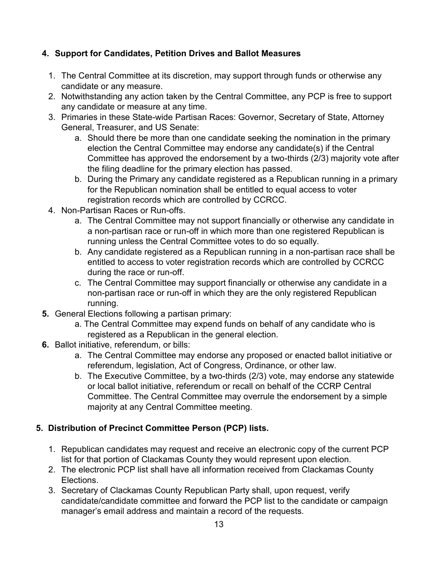#### **4. Support for Candidates, Petition Drives and Ballot Measures**

- 1. The Central Committee at its discretion, may support through funds or otherwise any candidate or any measure.
- 2. Notwithstanding any action taken by the Central Committee, any PCP is free to support any candidate or measure at any time.
- 3. Primaries in these State-wide Partisan Races: Governor, Secretary of State, Attorney General, Treasurer, and US Senate:
	- a. Should there be more than one candidate seeking the nomination in the primary election the Central Committee may endorse any candidate(s) if the Central Committee has approved the endorsement by a two-thirds (2/3) majority vote after the filing deadline for the primary election has passed.
	- b. During the Primary any candidate registered as a Republican running in a primary for the Republican nomination shall be entitled to equal access to voter registration records which are controlled by CCRCC.
- 4. Non-Partisan Races or Run-offs.
	- a. The Central Committee may not support financially or otherwise any candidate in a non-partisan race or run-off in which more than one registered Republican is running unless the Central Committee votes to do so equally.
	- b. Any candidate registered as a Republican running in a non-partisan race shall be entitled to access to voter registration records which are controlled by CCRCC during the race or run-off.
	- c. The Central Committee may support financially or otherwise any candidate in a non-partisan race or run-off in which they are the only registered Republican running.
- **5.** General Elections following a partisan primary:
	- a. The Central Committee may expend funds on behalf of any candidate who is registered as a Republican in the general election.
- **6.** Ballot initiative, referendum, or bills:
	- a. The Central Committee may endorse any proposed or enacted ballot initiative or referendum, legislation, Act of Congress, Ordinance, or other law.
	- b. The Executive Committee, by a two-thirds (2/3) vote, may endorse any statewide or local ballot initiative, referendum or recall on behalf of the CCRP Central Committee. The Central Committee may overrule the endorsement by a simple majority at any Central Committee meeting.

#### **5. Distribution of Precinct Committee Person (PCP) lists.**

- 1. Republican candidates may request and receive an electronic copy of the current PCP list for that portion of Clackamas County they would represent upon election.
- 2. The electronic PCP list shall have all information received from Clackamas County Elections.
- 3. Secretary of Clackamas County Republican Party shall, upon request, verify candidate/candidate committee and forward the PCP list to the candidate or campaign manager's email address and maintain a record of the requests.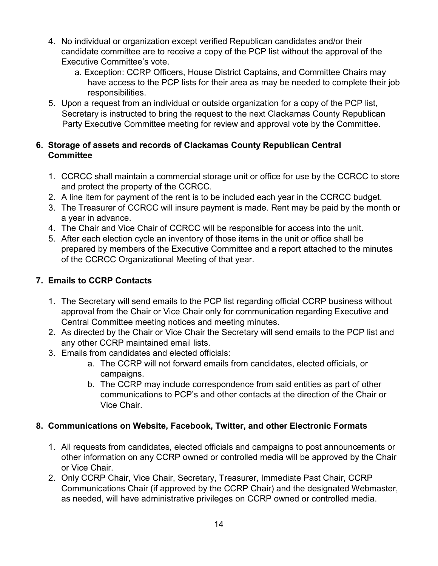- 4. No individual or organization except verified Republican candidates and/or their candidate committee are to receive a copy of the PCP list without the approval of the Executive Committee's vote.
	- a. Exception: CCRP Officers, House District Captains, and Committee Chairs may have access to the PCP lists for their area as may be needed to complete their job responsibilities.
- 5. Upon a request from an individual or outside organization for a copy of the PCP list, Secretary is instructed to bring the request to the next Clackamas County Republican Party Executive Committee meeting for review and approval vote by the Committee.

#### **6. Storage of assets and records of Clackamas County Republican Central Committee**

- 1. CCRCC shall maintain a commercial storage unit or office for use by the CCRCC to store and protect the property of the CCRCC.
- 2. A line item for payment of the rent is to be included each year in the CCRCC budget.
- 3. The Treasurer of CCRCC will insure payment is made. Rent may be paid by the month or a year in advance.
- 4. The Chair and Vice Chair of CCRCC will be responsible for access into the unit.
- 5. After each election cycle an inventory of those items in the unit or office shall be prepared by members of the Executive Committee and a report attached to the minutes of the CCRCC Organizational Meeting of that year.

#### **7. Emails to CCRP Contacts**

- 1. The Secretary will send emails to the PCP list regarding official CCRP business without approval from the Chair or Vice Chair only for communication regarding Executive and Central Committee meeting notices and meeting minutes.
- 2. As directed by the Chair or Vice Chair the Secretary will send emails to the PCP list and any other CCRP maintained email lists.
- 3. Emails from candidates and elected officials:
	- a. The CCRP will not forward emails from candidates, elected officials, or campaigns.
	- b. The CCRP may include correspondence from said entities as part of other communications to PCP's and other contacts at the direction of the Chair or Vice Chair.

#### **8. Communications on Website, Facebook, Twitter, and other Electronic Formats**

- 1. All requests from candidates, elected officials and campaigns to post announcements or other information on any CCRP owned or controlled media will be approved by the Chair or Vice Chair.
- 2. Only CCRP Chair, Vice Chair, Secretary, Treasurer, Immediate Past Chair, CCRP Communications Chair (if approved by the CCRP Chair) and the designated Webmaster, as needed, will have administrative privileges on CCRP owned or controlled media.